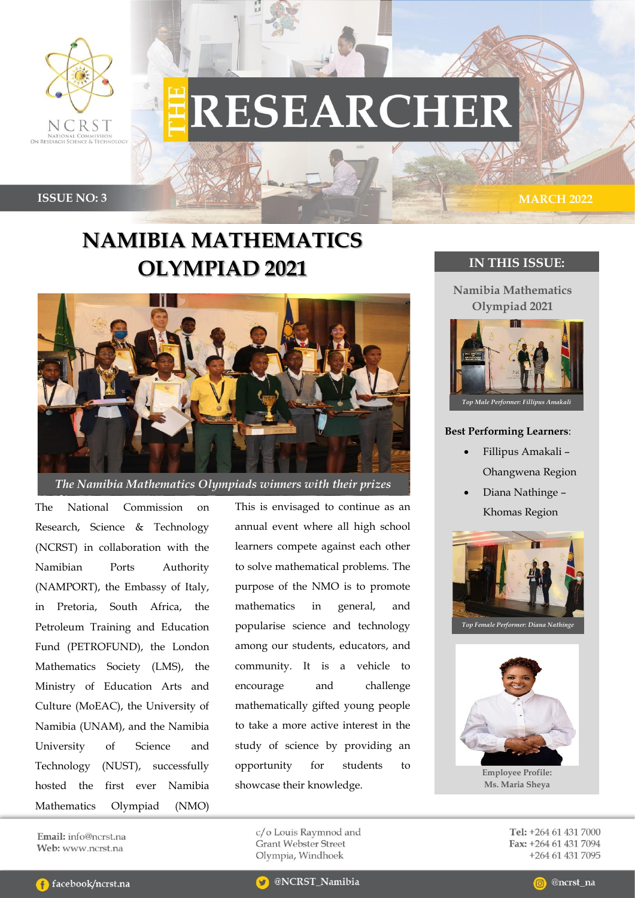

# **RESEARCHER**

**ISSUE NO: 3 MARCH 2022** 

## **NAMIBIA MATHEMATICS OLYMPIAD 2021**



*The Namibia Mathematics Olympiads winners with their prizes*

The National Commission on Research, Science & Technology (NCRST) in collaboration with the Namibian Ports Authority (NAMPORT), the Embassy of Italy, in Pretoria, South Africa, the Petroleum Training and Education Fund (PETROFUND), the London Mathematics Society (LMS), the Ministry of Education Arts and Culture (MoEAC), the University of Namibia (UNAM), and the Namibia University of Science and Technology (NUST), successfully hosted the first ever Namibia Mathematics Olympiad (NMO)

This is envisaged to continue as an annual event where all high school learners compete against each other to solve mathematical problems. The purpose of the NMO is to promote mathematics in general, and popularise science and technology among our students, educators, and community. It is a vehicle to encourage and challenge mathematically gifted young people to take a more active interest in the study of science by providing an opportunity for students to showcase their knowledge.

> c/o Louis Raymnod and **Grant Webster Street** Olympia, Windhoek

### **IN THIS ISSUE:**

**Namibia Mathematics Olympiad 2021**



#### **Best Performing Learners**:

- Fillipus Amakali Ohangwena Region
- Diana Nathinge Khomas Region





**Employee Profile: Ms. Maria Sheya**

Tel: +264 61 431 7000 Fax: +264 61 431 7094 +264 61 431 7095

Email: info@ncrst.na Web: www.ncrst.na



@ncrst na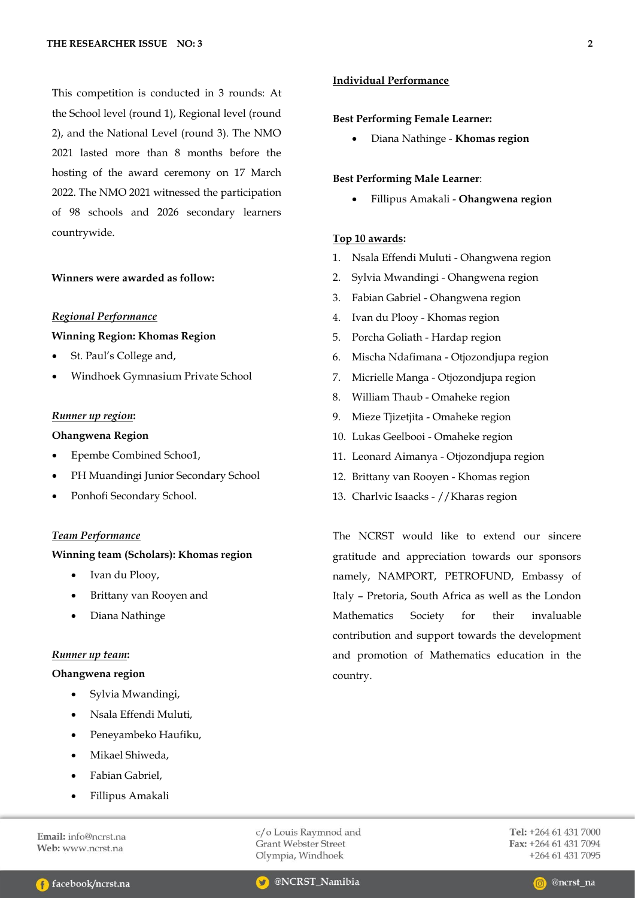This competition is conducted in 3 rounds: At the School level (round 1), Regional level (round 2), and the National Level (round 3). The NMO 2021 lasted more than 8 months before the hosting of the award ceremony on 17 March 2022. The NMO 2021 witnessed the participation of 98 schools and 2026 secondary learners countrywide.

#### **Winners were awarded as follow:**

#### *Regional Performance*

#### **Winning Region: Khomas Region**

- St. Paul's College and,
- Windhoek Gymnasium Private School

#### *Runner up region***:**

#### **Ohangwena Region**

- Epembe Combined Schoo1,
- PH Muandingi Junior Secondary School
- Ponhofi Secondary School.

#### *Team Performance*

#### **Winning team (Scholars): Khomas region**

- Ivan du Plooy,
- Brittany van Rooyen and
- Diana Nathinge

#### *Runner up team***:**

#### **Ohangwena region**

- Sylvia Mwandingi,
- Nsala Effendi Muluti,
- Peneyambeko Haufiku,
- Mikael Shiweda,
- Fabian Gabriel,
- Fillipus Amakali

c/o Louis Raymnod and **Grant Webster Street** Olympia, Windhoek

@NCRST\_Namibia

Tel: +264 61 431 7000 Fax: +264 61 431 7094 +264 61 431 7095

#### **Best Performing Female Learner:**

• Diana Nathinge - **Khomas region**

#### **Best Performing Male Learner**:

• Fillipus Amakali - **Ohangwena region**

#### **Top 10 awards:**

- 1. Nsala Effendi Muluti Ohangwena region
- 2. Sylvia Mwandingi Ohangwena region
- 3. Fabian Gabriel Ohangwena region
- 4. Ivan du Plooy Khomas region
- 5. Porcha Goliath Hardap region
- 6. Mischa Ndafimana Otjozondjupa region
- 7. Micrielle Manga Otjozondjupa region
- 8. William Thaub Omaheke region
- 9. Mieze Tjizetjita Omaheke region
- 10. Lukas Geelbooi Omaheke region
- 11. Leonard Aimanya Otjozondjupa region
- 12. Brittany van Rooyen Khomas region
- 13. Charlvic Isaacks //Kharas region

The NCRST would like to extend our sincere gratitude and appreciation towards our sponsors namely, NAMPORT, PETROFUND, Embassy of Italy – Pretoria, South Africa as well as the London Mathematics Society for their invaluable contribution and support towards the development and promotion of Mathematics education in the country.

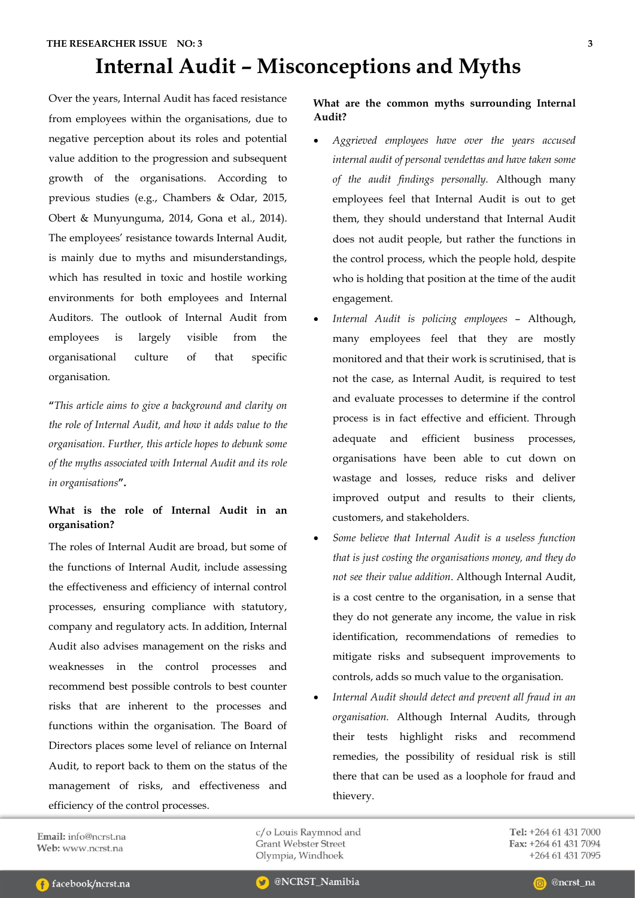## **Internal Audit – Misconceptions and Myths**

Over the years, Internal Audit has faced resistance from employees within the organisations, due to negative perception about its roles and potential value addition to the progression and subsequent growth of the organisations. According to previous studies (e.g., Chambers & Odar, 2015, Obert & Munyunguma, 2014, Gona et al., 2014). The employees' resistance towards Internal Audit, is mainly due to myths and misunderstandings, which has resulted in toxic and hostile working environments for both employees and Internal Auditors. The outlook of Internal Audit from employees is largely visible from the organisational culture of that specific organisation.

**"***This article aims to give a background and clarity on the role of Internal Audit, and how it adds value to the organisation. Further, this article hopes to debunk some of the myths associated with Internal Audit and its role in organisations***".** 

#### **What is the role of Internal Audit in an organisation?**

The roles of Internal Audit are broad, but some of the functions of Internal Audit, include assessing the effectiveness and efficiency of internal control processes, ensuring compliance with statutory, company and regulatory acts. In addition, Internal Audit also advises management on the risks and weaknesses in the control processes and recommend best possible controls to best counter risks that are inherent to the processes and functions within the organisation. The Board of Directors places some level of reliance on Internal Audit, to report back to them on the status of the management of risks, and effectiveness and efficiency of the control processes.

**What are the common myths surrounding Internal Audit?**

- *Aggrieved employees have over the years accused internal audit of personal vendettas and have taken some of the audit findings personally.* Although many employees feel that Internal Audit is out to get them, they should understand that Internal Audit does not audit people, but rather the functions in the control process, which the people hold, despite who is holding that position at the time of the audit engagement.
- *Internal Audit is policing employees* Although, many employees feel that they are mostly monitored and that their work is scrutinised, that is not the case, as Internal Audit, is required to test and evaluate processes to determine if the control process is in fact effective and efficient. Through adequate and efficient business processes, organisations have been able to cut down on wastage and losses, reduce risks and deliver improved output and results to their clients, customers, and stakeholders.
- *Some believe that Internal Audit is a useless function that is just costing the organisations money, and they do not see their value addition*. Although Internal Audit, is a cost centre to the organisation, in a sense that they do not generate any income, the value in risk identification, recommendations of remedies to mitigate risks and subsequent improvements to controls, adds so much value to the organisation.
- *Internal Audit should detect and prevent all fraud in an organisation.* Although Internal Audits, through their tests highlight risks and recommend remedies, the possibility of residual risk is still there that can be used as a loophole for fraud and thievery.

Email:  $info@ncrst$  na Web: www.ncrst.na

c/o Louis Raymnod and **Grant Webster Street** Olympia, Windhoek

Tel: +264 61 431 7000 Fax: +264 61 431 7094 +264 61 431 7095

@ncrst\_na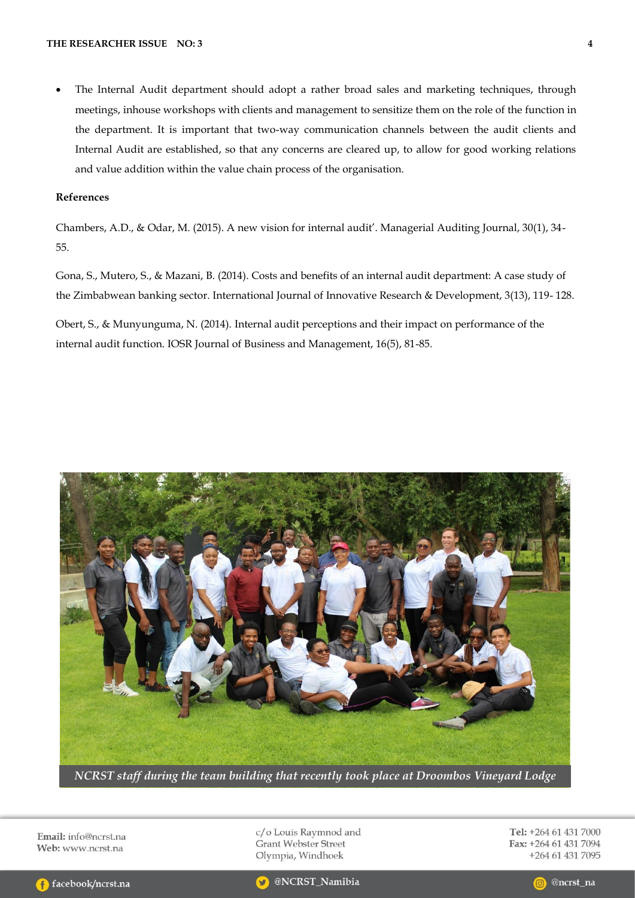The Internal Audit department should adopt a rather broad sales and marketing techniques, through meetings, inhouse workshops with clients and management to sensitize them on the role of the function in the department. It is important that two-way communication channels between the audit clients and Internal Audit are established, so that any concerns are cleared up, to allow for good working relations and value addition within the value chain process of the organisation.

#### **References**

Chambers, A.D., & Odar, M. (2015). A new vision for internal audit'. Managerial Auditing Journal, 30(1), 34- 55.

Gona, S., Mutero, S., & Mazani, B. (2014). Costs and benefits of an internal audit department: A case study of the Zimbabwean banking sector. International Journal of Innovative Research & Development, 3(13), 119- 128.

Obert, S., & Munyunguma, N. (2014). Internal audit perceptions and their impact on performance of the internal audit function. IOSR Journal of Business and Management, 16(5), 81-85.



*NCRST staff during the team building that recently took place at Droombos Vineyard Lodge*

Email: info@ncrst.na Web: www.ncrst.na

c/o Louis Raymnod and **Grant Webster Street** Olympia, Windhoek

Tel: +264 61 431 7000 Fax: +264 61 431 7094 +264 61 431 7095



@NCRST\_Namibia

@ncrst\_na